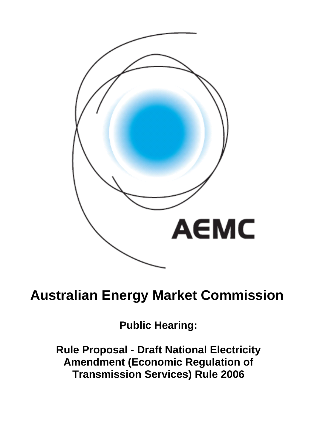

# **Australian Energy Market Commission**

**Public Hearing:** 

**Rule Proposal - Draft National Electricity Amendment (Economic Regulation of Transmission Services) Rule 2006**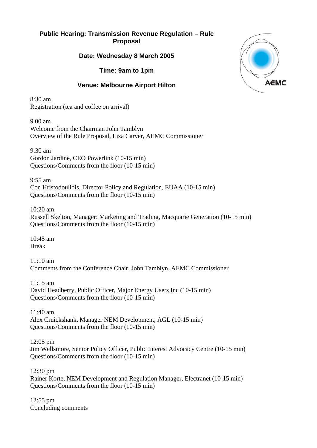## **Public Hearing: Transmission Revenue Regulation – Rule Proposal**

#### **Date: Wednesday 8 March 2005**

**Time: 9am to 1pm** 

# **Venue: Melbourne Airport Hilton**

 $8.30$  am Registration (tea and coffee on arrival)

9.00 am Welcome from the Chairman John Tamblyn Overview of the Rule Proposal, Liza Carver, AEMC Commissioner

9:30 am Gordon Jardine, CEO Powerlink (10-15 min) Questions/Comments from the floor (10-15 min)

9:55 am Con Hristodoulidis, Director Policy and Regulation, EUAA (10-15 min) Questions/Comments from the floor (10-15 min)

 $10:20 \text{ am}$ 

Russell Skelton, Manager: Marketing and Trading, Macquarie Generation (10-15 min) Questions/Comments from the floor (10-15 min)

10:45 am Break

11:10 am Comments from the Conference Chair, John Tamblyn, AEMC Commissioner

11:15 am David Headberry, Public Officer, Major Energy Users Inc (10-15 min) Questions/Comments from the floor (10-15 min)

 $11:40 \text{ am}$ Alex Cruickshank, Manager NEM Development, AGL (10-15 min) Questions/Comments from the floor (10-15 min)

12:05 pm Jim Wellsmore, Senior Policy Officer, Public Interest Advocacy Centre (10-15 min) Questions/Comments from the floor (10-15 min)

12:30 pm Rainer Korte, NEM Development and Regulation Manager, Electranet (10-15 min) Questions/Comments from the floor (10-15 min)

12:55 pm Concluding comments

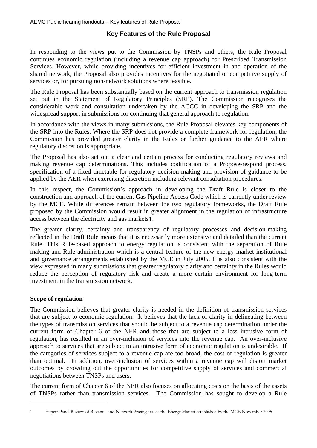# **Key Features of the Rule Proposal**

In responding to the views put to the Commission by TNSPs and others, the Rule Proposal continues economic regulation (including a revenue cap approach) for Prescribed Transmission Services. However, while providing incentives for efficient investment in and operation of the shared network, the Proposal also provides incentives for the negotiated or competitive supply of services or, for pursuing non-network solutions where feasible.

The Rule Proposal has been substantially based on the current approach to transmission regulation set out in the Statement of Regulatory Principles (SRP). The Commission recognises the considerable work and consultation undertaken by the ACCC in developing the SRP and the widespread support in submissions for continuing that general approach to regulation.

In accordance with the views in many submissions, the Rule Proposal elevates key components of the SRP into the Rules. Where the SRP does not provide a complete framework for regulation, the Commission has provided greater clarity in the Rules or further guidance to the AER where regulatory discretion is appropriate.

The Proposal has also set out a clear and certain process for conducting regulatory reviews and specification of a fixed timetable for regulatory decision-making and provision of guidance to be applied by the AER when exercising discretion including relevant consultation procedures. making revenue cap determinations. This includes codification of a Propose-respond process,

In this respect, the Commission's approach in developing the Draft Rule is closer to the construction and approach of the current Gas Pipeline Access Code which is currently under review by the MCE. While differences remain between the two regulatory frameworks, the Draft Rule proposed by the Commission would result in greater alignment in the regulation of infrastructure access between the electricity and gas markets1.

The greater clarity, certainty and transparency of regulatory processes and decision-making reflected in the Draft Rule means that it is necessarily more extensive and detailed than the current Rule. This Rule-based approach to energy regulation is consistent with the separation of Rule making and Rule administration which is a central feature of the new energy market institutional and governance arrangements established by the MCE in July 2005. It is also consistent with the view expressed in many submissions that greater regulatory clarity and certainty in the Rules would reduce the perception of regulatory risk and create a more certain environment for long-term investment in the transmission network.

# **Scope of regulation**

 $\overline{a}$ 

l

The Commission believes that greater clarity is needed in the definition of transmission services that are subject to economic regulation. It believes that the lack of clarity in delineating between the types of transmission services that should be subject to a revenue cap determination under the current form of Chapter 6 of the NER and those that are subject to a less intrusive form of regulation, has resulted in an over-inclusion of services into the revenue cap. An over-inclusive approach to services that are subject to an intrusive form of economic regulation is undesirable. If than optimal. In addition, over-inclusion of services within a revenue cap will distort market outcomes by crowding out the opportunities for competitive supply of services and commercial the categories of services subject to a revenue cap are too broad, the cost of regulation is greater negotiations between TNSPs and users.

The current form of Chapter 6 of the NER also focuses on allocating costs on the basis of the assets of TNSPs rather than transmission services. The Commission has sought to develop a Rule

<sup>&</sup>lt;sup>1</sup> Expert Panel Review of Revenue and Network Pricing across the Energy Market established by the MCE November 2005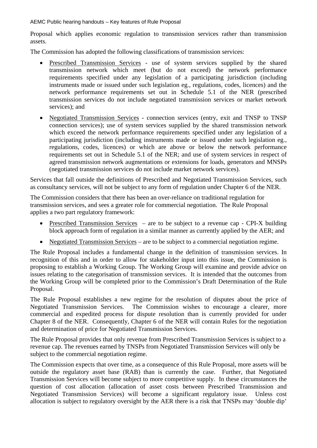AEMC Public hearing handouts – Key features of Rule Proposal

Proposal which applies economic regulation to transmission services rather than transmission assets.

The Commission has adopted the following classifications of transmission services:

- Prescribed Transmission Services use of system services supplied by the shared transmission network which meet (but do not exceed) the network performance requirements specified under any legislation of a participating jurisdiction (including instruments made or issued under such legislation eg., regulations, codes, licences) and the network performance requirements set out in Schedule 5.1 of the NER (prescribed transmission services do not include negotiated transmission services or market network services); and
- Negotiated Transmission Services connection services (entry, exit and TNSP to TNSP regulations, codes, licences) or which are above or below the network performance connection services); use of system services supplied by the shared transmission network which exceed the network performance requirements specified under any legislation of a participating jurisdiction (including instruments made or issued under such legislation eg., requirements set out in Schedule 5.1 of the NER; and use of system services in respect of agreed transmission network augmentations or extensions for loads, generators and MNSPs (negotiated transmission services do not include market network services).

Services that fall outside the definitions of Prescribed and Negotiated Transmission Services, such as consultancy services, will not be subject to any form of regulation under Chapter 6 of the NER.

The Commission considers that there has been an over-reliance on traditional regulation for transmission services, and sees a greater role for commercial negotiation. The Rule Proposal applies a two part regulatory framework:

- Prescribed Transmission Services are to be subject to a revenue cap CPI-X building block approach form of regulation in a similar manner as currently applied by the AER; and
- Negotiated Transmission Services are to be subject to a commercial negotiation regime.

The Rule Proposal includes a fundamental change in the definition of transmission services. In recognition of this and in order to allow for stakeholder input into this issue, the Commission is proposing to establish a Working Group. The Working Group will examine and provide advice on issues relating to the categorisation of transmission services. It is intended that the outcomes from the Working Group will be completed prior to the Commission's Draft Determination of the Rule Proposal.

The Rule Proposal establishes a new regime for the resolution of disputes about the price of Negotiated Transmission Services. The Commission wishes to encourage a clearer, more commercial and expedited process for dispute resolution than is currently provided for under Chapter 8 of the NER. Consequently, Chapter 6 of the NER will contain Rules for the negotiation and determination of price for Negotiated Transmission Services.

The Rule Proposal provides that only revenue from Prescribed Transmission Services is subject to a revenue cap. The revenues earned by TNSPs from Negotiated Transmission Services will only be subject to the commercial negotiation regime.

Transmission Services will become subject to more competitive supply. In these circumstances the allocation is subject to regulatory oversight by the AER there is a risk that TNSPs may 'double dip' The Commission expects that over time, as a consequence of this Rule Proposal, more assets will be outside the regulatory asset base (RAB) than is currently the case. Further, that Negotiated question of cost allocation (allocation of asset costs between Prescribed Transmission and Negotiated Transmission Services) will become a significant regulatory issue. Unless cost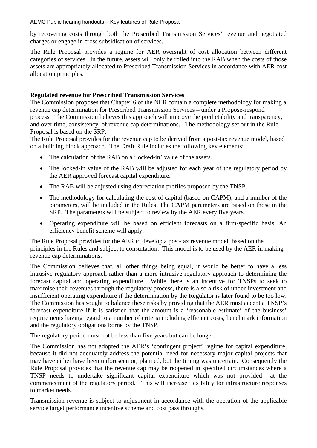#### AEMC Public hearing handouts – Key features of Rule Proposal

by recovering costs through both the Prescribed Transmission Services' revenue and negotiated charges or engage in cross subsidisation of services.

The Rule Proposal provides a regime for AER oversight of cost allocation between different categor ies of services. In the future, assets will only be rolled into the RAB when the costs of those assets are appropriately allocated to Prescribed Transmission Services in accordance with AER cost allocati on principles.

# **Regula ted revenue for Prescribed Transmission Services**

The Co mmission proposes that Chapter 6 of the NER contain a complete methodology for making a revenue cap determination for Prescribed Transmission Services – under a Propose-respond process. The Commission believes this approach will improve the predictability and transparency, and ov er time, consistency, of revenue cap determinations. The methodology set out in the Rule Propos al is based on the SRP.

The Ru le Proposal provides for the revenue cap to be derived from a post-tax revenue model, based on a bu ilding block approach. The Draft Rule includes the following key elements:

- $\bullet$ The calculation of the RAB on a 'locked-in' value of the assets.
- The locked-in value of the RAB will be adjusted for each year of the regulatory period by the AER approved forecast capital expenditure.
- The RAB will be adjusted using depreciation profiles proposed by the TNSP.
- The methodology for calculating the cost of capital (based on CAPM), and a number of the parameters, will be included in the Rules. The CAPM parameters are based on those in the SRP. The parameters will be subject to review by the AER every five years.
- Operating expenditure will be based on efficient forecasts on a firm-specific basis. An efficiency benefit scheme will apply.

The Rule Proposal provides for the AER to develop a post-tax revenue model, based on the principles in the Rules and subject to consultation. This model is to be used by the AER in making revenue cap determinations.

maximise their revenues through the regulatory process, there is also a risk of under-investment and The Commission believes that, all other things being equal, it would be better to have a less intrusive regulatory approach rather than a more intrusive regulatory approach to determining the forecast capital and operating expenditure. While there is an incentive for TNSPs to seek to insufficient operating expenditure if the determination by the Regulator is later found to be too low. The Commission has sought to balance these risks by providing that the AER must accept a TNSP's forecast expenditure if it is satisfied that the amount is a 'reasonable estimate' of the business' requirements having regard to a number of criteria including efficient costs, benchmark information and the regulatory obligations borne by the TNSP.

The regulatory period must not be less than five years but can be longer.

The Commission has not adopted the AER's 'contingent project' regime for capital expenditure, because it did not adequately address the potential need for necessary major capital projects that may have either have been unforeseen or, planned, but the timing was uncertain. Consequently the Rule Proposal provides that the revenue cap may be reopened in specified circumstances where a TNSP needs to undertake significant capital expenditure which was not provided at the commencement of the regulatory period. This will increase flexibility for infrastructure responses to market needs.

service target performance incentive scheme and cost pass throughs. Transmission revenue is subject to adjustment in accordance with the operation of the applicable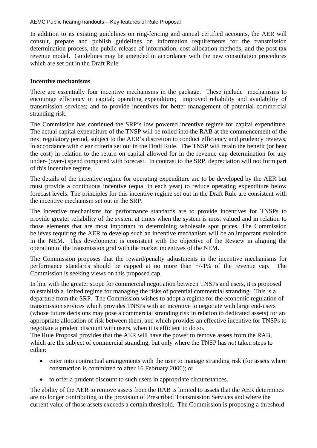In addition to its existing guidelines on ring-fencing and annual certified accounts, the AER will consult, prepare and publish guidelines on information requirements for the transmission determination process, the public release of information, cost allocation methods, and the post-tax revenue model. Guidelines may be amended in accordance with the new consultation procedures which are set out in the Draft Rule.

#### **ncentive mechanisms I**

There are essentially four incentive mechanisms in the package. These include mechanisms to encourage efficiency in capital; operating expenditure; improved reliability and availability of transmission services; and to provide incentives for better management of potential commercial stranding risk.

The Commission has continued the SRP's low powered incentive regime for capital expenditure. The actual capital expenditure of the TNSP will be rolled into the RAB at the commencement of the in accordance with clear criteria set out in the Draft Rule. The TNSP will retain the benefit (or bear the cost) in relation to the return on capital allowed for in the revenue cap determination for any under- (over-) spend compared with forecast. In contrast to the SRP, depreciation will not form part of this incentive regime. next regulatory period, subject to the AER's discretion to conduct efficiency and prudency reviews,

The details of the incentive regime for operating expenditure are to be developed by the AER but must provide a continuous incentive (equal in each year) to reduce operating expenditure below forecast levels. The principles for this incentive regime set out in the Draft Rule are consistent with the inc entive mechanism set out in the SRP.

The incentive mechanisms for performance standards are to provide incentives for TNSPs to provide greater reliability of the sy stem at times when the system is most valued and in relation to those elements that are most important to determining wholesale spot prices. The Commission believes requiring the AER to develop such an incentive mechanism will be an important evolution in the NEM. This development is consistent with the objective of the Review in aligning the operation of the transmission grid with the market incentives of the NEM.

The Commission proposes that the reward/penalty adjustments in the incentive mechanisms for performance standards should be capped at no more than  $+/-1\%$  of the revenue cap. The Commission is seeking views on this proposed cap.

negotiate a prudent discount with users, when it is efficient to do so. In line with the greater scope for commercial negotiation between TNSPs and users, it is proposed to establish a limited regime for managing the risks of potential commercial stranding. This is a departure from the SRP. The Commission wishes to adopt a regime for the economic regulation of transmission services which provides TNSPs with an incentive to negotiate with large end-users (whose future decisions may pose a commercial stranding risk in relation to dedicated assets) for an appropriate allocation of risk between them, and which provides an effective incentive for TNSPs to

The Rule Proposal provides that the AER will have the power to remove assets from the RAB, which are the subject of commercial stranding, but only where the TNSP has *not* taken steps to either:

- enter into contractual arrangements with the user to manage stranding risk (for assets where construction is committed to after 16 February 2006); or
- to offer a prudent discount to such users in appropriate circumstances.

The ability of the AER to remove assets from the RAB is limited to assets that the AER determines are no longer contributing to the provision of Prescribed Transmission Services and where the current value of those assets exceeds a certain threshold. The Commission is proposing a threshold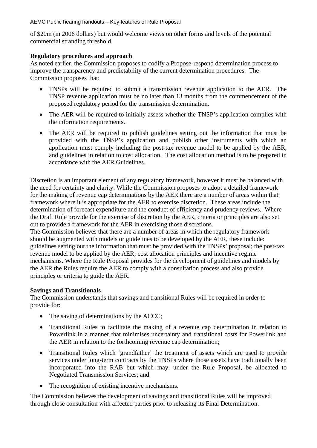AEMC Public hearing handouts – Key features of Rule Proposal

of \$20m (in 2006 dollars) but would welcome views on other forms and levels of the potential commercial stranding threshold.

## **Regulatory procedures and approach**

As noted earlier, the Commission proposes to codify a Propose-respond determination process to improve the transparency and predictability of the current determination procedures. The Commission proposes that:

- TNSPs will be required to submit a transmission revenue application to the AER. The TNSP revenue application must be no later than 13 months from the commencement of the proposed regulatory period for the transmission determination.
- The AER will be required to initially assess whether the TNSP's application complies with the information requirements.
- The AER will be required to publish guidelines setting out the information that must be provided with the TNSP's application and publish other instruments with which an application must comply including the post-tax revenue model to be applied by the AER, and guidelines in relation to cost allocation. The cost allocation method is to be prepared in accordance with the AER Guidelines.

framework where it is appropriate for the AER to exercise discretion. These areas include the Discretion is an important element of any regulatory framework, however it must be balanced with the need for certainty and clarity. While the Commission proposes to adopt a detailed framework for the making of revenue cap determinations by the AER there are a number of areas within that determination of forecast expenditure and the conduct of efficiency and prudency reviews. Where the Draft Rule provide for the exercise of discretion by the AER, criteria or principles are also set out to provide a framework for the AER in exercising those discretions.

r evenue model to be applied by the AER; cost allocation principles and incentive regime The Commission believes that there are a number of areas in which the regulatory framework should be augmented with models or guidelines to be developed by the AER, these include: guidelines setting out the information that must be provided with the TNSPs' proposal; the post-tax mechanisms. Where the Rule Proposal provides for the development of guidelines and models by the AER the Rules require the AER to comply with a consultation process and also provide principles or criteria to guide the AER.

#### **Savings and Transitionals**

The Commission understands that savings and transitional Rules will be required in order to provide for:

- The saving of determinations by the ACCC;
- Transitional Rules to facilitate the making of a revenue cap determination in relation to Powerlink in a manner that minimises uncertainty and transitional costs for Powerlink and the AER in relation to the forthcoming revenue cap determination;
- Transitional Rules which 'grandfather' the treatment of assets which are used to provide incorporated into the RAB but which may, under the Rule Proposal, be allocated to  $\bullet$ services under long-term contracts by the TNSPs where those assets have traditionally been Negotiated Transmission Services; and
- The recognition of existing incentive mechanisms.

The Commission believes the development of savings and transitional Rules will be improved through close consultation with affected parties prior to releasing its Final Determination.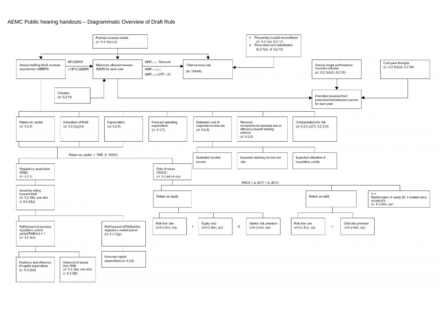#### AEMC Public hearing handouts – Diagrammatic Overview of Draft Rule

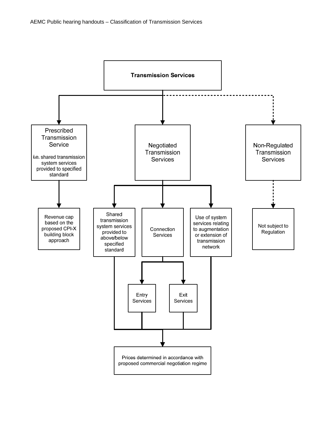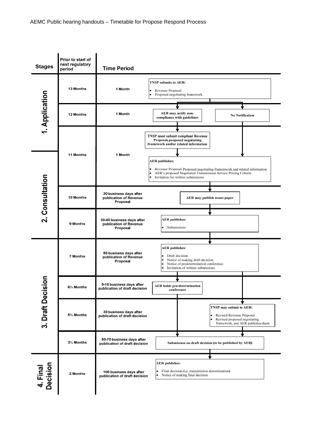